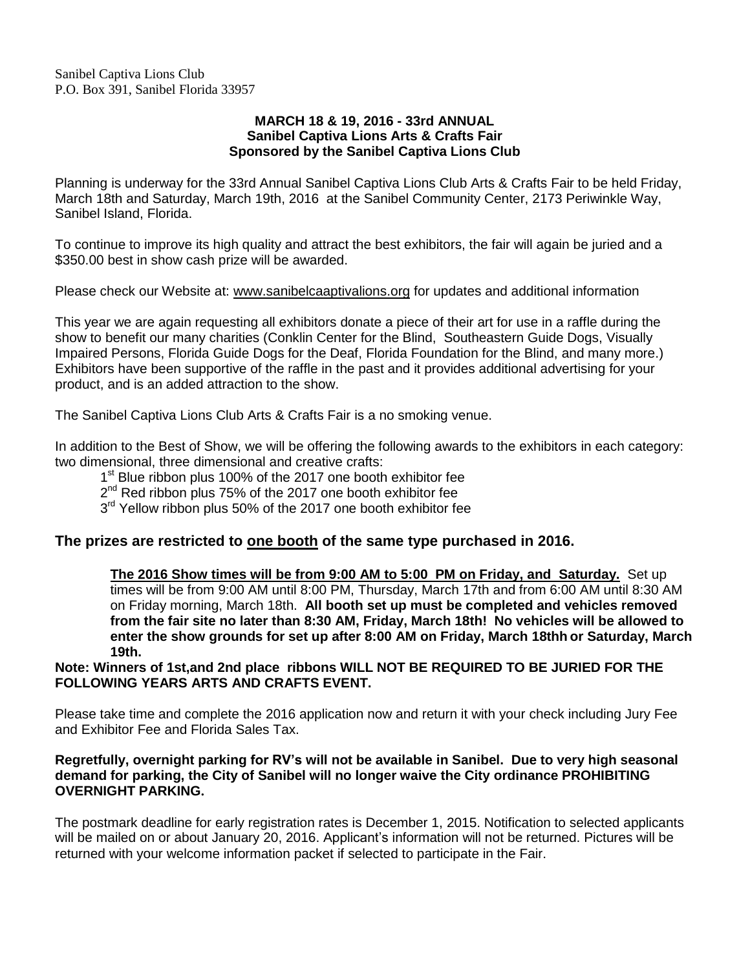Sanibel Captiva Lions Club P.O. Box 391, Sanibel Florida 33957

#### **MARCH 18 & 19, 2016 - 33rd ANNUAL Sanibel Captiva Lions Arts & Crafts Fair Sponsored by the Sanibel Captiva Lions Club**

Planning is underway for the 33rd Annual Sanibel Captiva Lions Club Arts & Crafts Fair to be held Friday, March 18th and Saturday, March 19th, 2016 at the Sanibel Community Center, 2173 Periwinkle Way, Sanibel Island, Florida.

To continue to improve its high quality and attract the best exhibitors, the fair will again be juried and a \$350.00 best in show cash prize will be awarded.

Please check our Website at: www.sanibelcaaptivalions.org for updates and additional information

This year we are again requesting all exhibitors donate a piece of their art for use in a raffle during the show to benefit our many charities (Conklin Center for the Blind, Southeastern Guide Dogs, Visually Impaired Persons, Florida Guide Dogs for the Deaf, Florida Foundation for the Blind, and many more.) Exhibitors have been supportive of the raffle in the past and it provides additional advertising for your product, and is an added attraction to the show.

The Sanibel Captiva Lions Club Arts & Crafts Fair is a no smoking venue.

In addition to the Best of Show, we will be offering the following awards to the exhibitors in each category: two dimensional, three dimensional and creative crafts:

1<sup>st</sup> Blue ribbon plus 100% of the 2017 one booth exhibitor fee

2<sup>nd</sup> Red ribbon plus 75% of the 2017 one booth exhibitor fee

3<sup>rd</sup> Yellow ribbon plus 50% of the 2017 one booth exhibitor fee

#### **The prizes are restricted to one booth of the same type purchased in 2016.**

**The 2016 Show times will be from 9:00 AM to 5:00 PM on Friday, and Saturday.** Set up times will be from 9:00 AM until 8:00 PM, Thursday, March 17th and from 6:00 AM until 8:30 AM on Friday morning, March 18th. **All booth set up must be completed and vehicles removed from the fair site no later than 8:30 AM, Friday, March 18th! No vehicles will be allowed to enter the show grounds for set up after 8:00 AM on Friday, March 18thh or Saturday, March 19th.**

**Note: Winners of 1st,and 2nd place ribbons WILL NOT BE REQUIRED TO BE JURIED FOR THE FOLLOWING YEARS ARTS AND CRAFTS EVENT.**

Please take time and complete the 2016 application now and return it with your check including Jury Fee and Exhibitor Fee and Florida Sales Tax.

#### **Regretfully, overnight parking for RV's will not be available in Sanibel. Due to very high seasonal demand for parking, the City of Sanibel will no longer waive the City ordinance PROHIBITING OVERNIGHT PARKING.**

The postmark deadline for early registration rates is December 1, 2015. Notification to selected applicants will be mailed on or about January 20, 2016. Applicant's information will not be returned. Pictures will be returned with your welcome information packet if selected to participate in the Fair.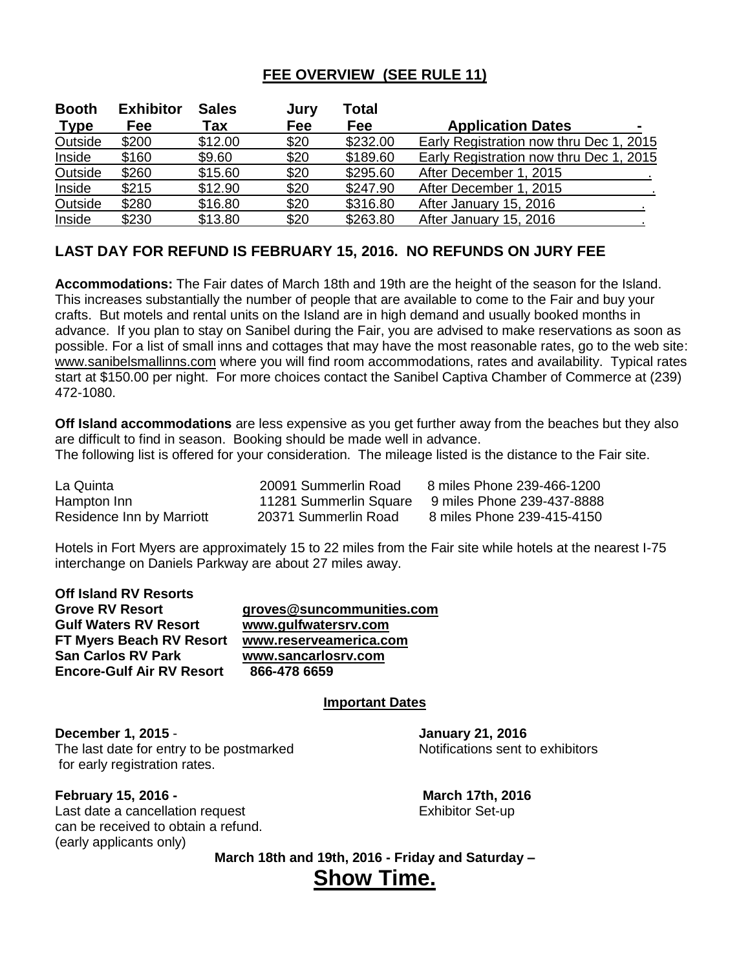## **FEE OVERVIEW (SEE RULE 11)**

| <b>Booth</b> | <b>Exhibitor</b> | <b>Sales</b> | Jury | Total      |                                         |
|--------------|------------------|--------------|------|------------|-----------------------------------------|
| <b>Type</b>  | Fee              | Tax          | Fee  | <b>Fee</b> | <b>Application Dates</b>                |
| Outside      | \$200            | \$12.00      | \$20 | \$232.00   | Early Registration now thru Dec 1, 2015 |
| Inside       | \$160            | \$9.60       | \$20 | \$189.60   | Early Registration now thru Dec 1, 2015 |
| Outside      | \$260            | \$15.60      | \$20 | \$295.60   | After December 1, 2015                  |
| Inside       | \$215            | \$12.90      | \$20 | \$247.90   | After December 1, 2015                  |
| Outside      | \$280            | \$16.80      | \$20 | \$316.80   | After January 15, 2016                  |
| Inside       | \$230            | \$13.80      | \$20 | \$263.80   | After January 15, 2016                  |

### **LAST DAY FOR REFUND IS FEBRUARY 15, 2016. NO REFUNDS ON JURY FEE**

**Accommodations:** The Fair dates of March 18th and 19th are the height of the season for the Island. This increases substantially the number of people that are available to come to the Fair and buy your crafts. But motels and rental units on the Island are in high demand and usually booked months in advance. If you plan to stay on Sanibel during the Fair, you are advised to make reservations as soon as possible. For a list of small inns and cottages that may have the most reasonable rates, go to the web site: [www.sanibelsmallinns.com](http://www.sanibelsmallinns.com/) where you will find room accommodations, rates and availability. Typical rates start at \$150.00 per night. For more choices contact the Sanibel Captiva Chamber of Commerce at (239) 472-1080.

**Off Island accommodations** are less expensive as you get further away from the beaches but they also are difficult to find in season. Booking should be made well in advance.

The following list is offered for your consideration. The mileage listed is the distance to the Fair site.

| La Quinta                 | 20091 Summerlin Road   | 8 miles Phone 239-466-1200 |
|---------------------------|------------------------|----------------------------|
| Hampton Inn               | 11281 Summerlin Square | 9 miles Phone 239-437-8888 |
| Residence Inn by Marriott | 20371 Summerlin Road   | 8 miles Phone 239-415-4150 |

Hotels in Fort Myers are approximately 15 to 22 miles from the Fair site while hotels at the nearest I-75 interchange on Daniels Parkway are about 27 miles away.

| Off Island RV Resorts            |                           |
|----------------------------------|---------------------------|
| <b>Grove RV Resort</b>           | groves@suncommunities.com |
| <b>Gulf Waters RV Resort</b>     | www.gulfwatersrv.com      |
| FT Myers Beach RV Resort         | www.reserveamerica.com    |
| <b>San Carlos RV Park</b>        | www.sancarlosrv.com       |
| <b>Encore-Gulf Air RV Resort</b> | 866-478 6659              |
|                                  |                           |

#### **Important Dates**

**December 1, 2015** - **January 21, 2016** The last date for entry to be postmarked Notifications sent to exhibitors for early registration rates.

**February 15, 2016 - March 17th, 2016** Last date a cancellation request exhibitor Set-up can be received to obtain a refund.

(early applicants only)

**March 18th and 19th, 2016 - Friday and Saturday – Show Time.**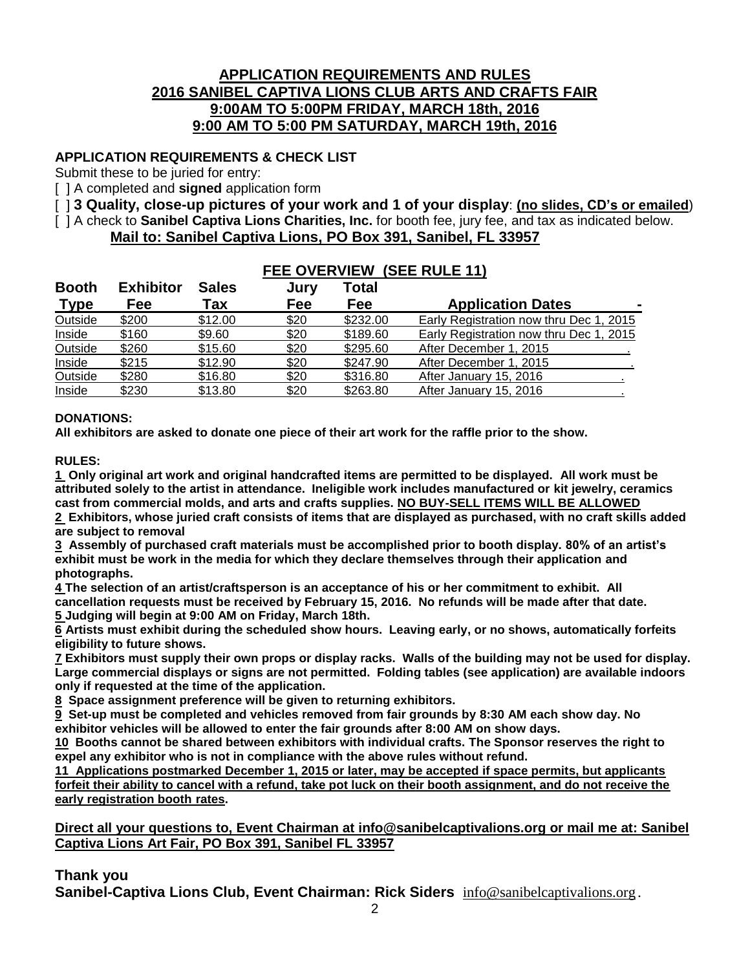### **APPLICATION REQUIREMENTS AND RULES 2016 SANIBEL CAPTIVA LIONS CLUB ARTS AND CRAFTS FAIR 9:00AM TO 5:00PM FRIDAY, MARCH 18th, 2016 9:00 AM TO 5:00 PM SATURDAY, MARCH 19th, 2016**

### **APPLICATION REQUIREMENTS & CHECK LIST**

Submit these to be juried for entry:

[ ] A completed and **signed** application form

[ ] **3 Quality, close-up pictures of your work and 1 of your display**: **(no slides, CD's or emailed**)

**FEE OVERVIEW (SEE RULE 11)**

[ ] A check to **Sanibel Captiva Lions Charities, Inc.** for booth fee, jury fee, and tax as indicated below.

### **Mail to: Sanibel Captiva Lions, PO Box 391, Sanibel, FL 33957**

| FEE OVERVIEW (SEE RULE TI) |                  |              |      |          |                                         |
|----------------------------|------------------|--------------|------|----------|-----------------------------------------|
| <b>Booth</b>               | <b>Exhibitor</b> | <b>Sales</b> | Jury | Total    |                                         |
| <b>Type</b>                | Fee              | Tax          | Fee  | Fee      | <b>Application Dates</b>                |
| Outside                    | \$200            | \$12.00      | \$20 | \$232.00 | Early Registration now thru Dec 1, 2015 |
| Inside                     | \$160            | \$9.60       | \$20 | \$189.60 | Early Registration now thru Dec 1, 2015 |
| Outside                    | \$260            | \$15.60      | \$20 | \$295.60 | After December 1, 2015                  |
| Inside                     | \$215            | \$12.90      | \$20 | \$247.90 | After December 1, 2015                  |
| Outside                    | \$280            | \$16.80      | \$20 | \$316.80 | After January 15, 2016                  |
| Inside                     | \$230            | \$13.80      | \$20 | \$263.80 | After January 15, 2016                  |

#### **DONATIONS:**

**All exhibitors are asked to donate one piece of their art work for the raffle prior to the show.**

**RULES:**

**1 Only original art work and original handcrafted items are permitted to be displayed. All work must be attributed solely to the artist in attendance. Ineligible work includes manufactured or kit jewelry, ceramics cast from commercial molds, and arts and crafts supplies. NO BUY-SELL ITEMS WILL BE ALLOWED**

**2 Exhibitors, whose juried craft consists of items that are displayed as purchased, with no craft skills added are subject to removal**

**3 Assembly of purchased craft materials must be accomplished prior to booth display. 80% of an artist's exhibit must be work in the media for which they declare themselves through their application and photographs.**

**4 The selection of an artist/craftsperson is an acceptance of his or her commitment to exhibit. All cancellation requests must be received by February 15, 2016. No refunds will be made after that date. 5 Judging will begin at 9:00 AM on Friday, March 18th.**

**6 Artists must exhibit during the scheduled show hours. Leaving early, or no shows, automatically forfeits eligibility to future shows.**

**7 Exhibitors must supply their own props or display racks. Walls of the building may not be used for display. Large commercial displays or signs are not permitted. Folding tables (see application) are available indoors only if requested at the time of the application.**

**8 Space assignment preference will be given to returning exhibitors.**

**9 Set-up must be completed and vehicles removed from fair grounds by 8:30 AM each show day. No exhibitor vehicles will be allowed to enter the fair grounds after 8:00 AM on show days.**

**10 Booths cannot be shared between exhibitors with individual crafts. The Sponsor reserves the right to expel any exhibitor who is not in compliance with the above rules without refund.**

**11 Applications postmarked December 1, 2015 or later, may be accepted if space permits, but applicants forfeit their ability to cancel with a refund, take pot luck on their booth assignment, and do not receive the early registration booth rates.** 

**Direct all your questions to, Event Chairman at [info@sanibelcaptivalions.org](mailto:info@sanibelcaptivalions.org) or mail me at: Sanibel Captiva Lions Art Fair, PO Box 391, Sanibel FL 33957**

#### **Thank you**

**Sanibel-Captiva Lions Club, Event Chairman: Rick Siders** [info@sanibelcaptivalions.org](mailto:info@sanibelcaptivalions.org).